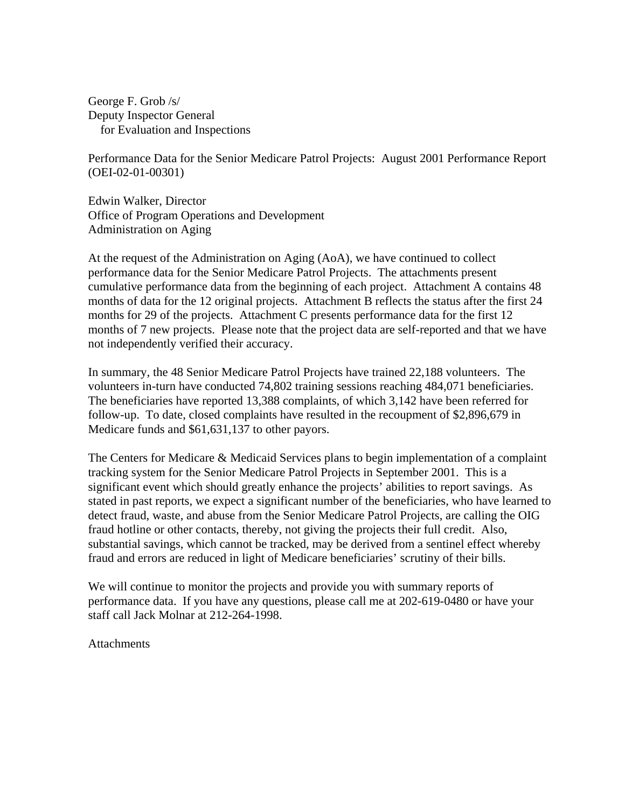George F. Grob /s/ Deputy Inspector General for Evaluation and Inspections

Performance Data for the Senior Medicare Patrol Projects: August 2001 Performance Report (OEI-02-01-00301)

Edwin Walker, Director Office of Program Operations and Development Administration on Aging

At the request of the Administration on Aging (AoA), we have continued to collect performance data for the Senior Medicare Patrol Projects. The attachments present cumulative performance data from the beginning of each project. Attachment A contains 48 months of data for the 12 original projects. Attachment B reflects the status after the first 24 months for 29 of the projects. Attachment C presents performance data for the first 12 months of 7 new projects. Please note that the project data are self-reported and that we have not independently verified their accuracy.

In summary, the 48 Senior Medicare Patrol Projects have trained 22,188 volunteers. The volunteers in-turn have conducted 74,802 training sessions reaching 484,071 beneficiaries. The beneficiaries have reported 13,388 complaints, of which 3,142 have been referred for follow-up. To date, closed complaints have resulted in the recoupment of \$2,896,679 in Medicare funds and \$61,631,137 to other payors.

The Centers for Medicare & Medicaid Services plans to begin implementation of a complaint tracking system for the Senior Medicare Patrol Projects in September 2001. This is a significant event which should greatly enhance the projects' abilities to report savings. As stated in past reports, we expect a significant number of the beneficiaries, who have learned to detect fraud, waste, and abuse from the Senior Medicare Patrol Projects, are calling the OIG fraud hotline or other contacts, thereby, not giving the projects their full credit. Also, substantial savings, which cannot be tracked, may be derived from a sentinel effect whereby fraud and errors are reduced in light of Medicare beneficiaries' scrutiny of their bills.

We will continue to monitor the projects and provide you with summary reports of performance data. If you have any questions, please call me at 202-619-0480 or have your staff call Jack Molnar at 212-264-1998.

**Attachments**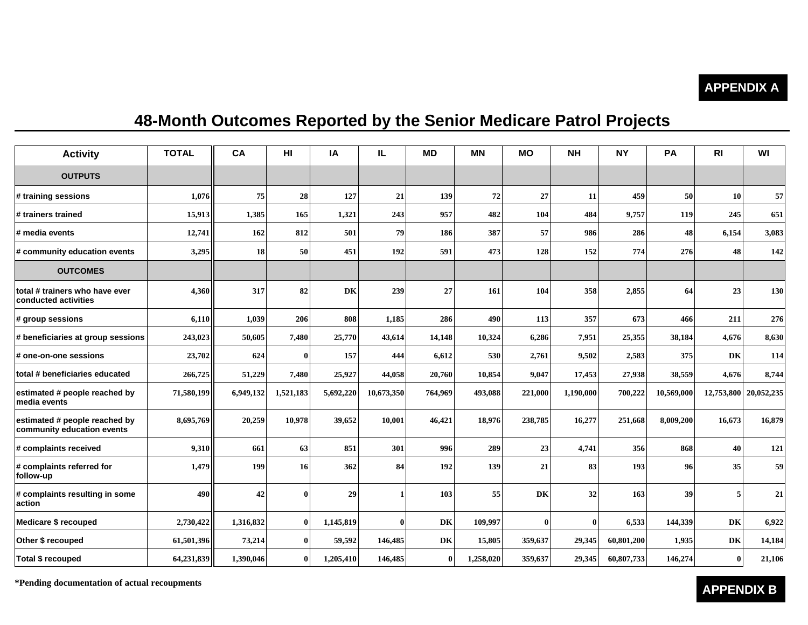#### **APPENDIX A**

## **48-Month Outcomes Reported by the Senior Medicare Patrol Projects**

| <b>Activity</b>                                             | <b>TOTAL</b> | CA        | H <sub>II</sub> | IA        | IL           | <b>MD</b> | <b>MN</b> | <b>MO</b>    | <b>NH</b> | <b>NY</b>  | PA         | R <sub>l</sub> | WI         |
|-------------------------------------------------------------|--------------|-----------|-----------------|-----------|--------------|-----------|-----------|--------------|-----------|------------|------------|----------------|------------|
| <b>OUTPUTS</b>                                              |              |           |                 |           |              |           |           |              |           |            |            |                |            |
| # training sessions                                         | 1.076        | 75        | 28              | 127       | 21           | 139       | 72        | 27           | 11        | 459        | <b>50</b>  | 10             | 57         |
| # trainers trained                                          | 15,913       | 1,385     | 165             | 1,321     | 243          | 957       | 482       | 104          | 484       | 9,757      | 119        | 245            | 651        |
| # media events                                              | 12,741       | 162       | 812             | 501       | 79           | 186       | 387       | 57           | 986       | 286        | 48         | 6,154          | 3,083      |
| # community education events                                | 3,295        | 18        | 50              | 451       | 192          | 591       | 473       | 128          | 152       | 774        | 276        | 48             | 142        |
| <b>OUTCOMES</b>                                             |              |           |                 |           |              |           |           |              |           |            |            |                |            |
| total # trainers who have ever<br>conducted activities      | 4,360        | 317       | 82              | DK        | 239          | 27        | 161       | 104          | 358       | 2,855      | 64         | 23             | 130        |
| $\#$ group sessions                                         | 6,110        | 1,039     | 206             | 808       | 1,185        | 286       | 490       | 113          | 357       | 673        | 466        | 211            | 276        |
| # beneficiaries at group sessions                           | 243,023      | 50,605    | 7,480           | 25,770    | 43,614       | 14,148    | 10,324    | 6,286        | 7,951     | 25,355     | 38,184     | 4,676          | 8,630      |
| # one-on-one sessions                                       | 23,702       | 624       | $\bf{0}$        | 157       | 444          | 6,612     | 530       | 2,761        | 9,502     | 2,583      | 375        | DK             | 114        |
| total # beneficiaries educated                              | 266,725      | 51,229    | 7,480           | 25,927    | 44,058       | 20,760    | 10,854    | 9,047        | 17,453    | 27,938     | 38,559     | 4,676          | 8,744      |
| estimated # people reached by<br>media events               | 71,580,199   | 6,949,132 | 1,521,183       | 5,692,220 | 10,673,350   | 764,969   | 493,088   | 221,000      | 1,190,000 | 700,222    | 10,569,000 | 12,753,800     | 20,052,235 |
| estimated # people reached by<br>community education events | 8,695,769    | 20,259    | 10,978          | 39,652    | 10,001       | 46,421    | 18,976    | 238,785      | 16,277    | 251,668    | 8,009,200  | 16,673         | 16,879     |
| # complaints received                                       | 9,310        | 661       | 63              | 851       | 301          | 996       | 289       | 23           | 4,741     | 356        | 868        | 40             | 121        |
| # complaints referred for<br>follow-up                      | 1,479        | 199       | 16              | 362       | 84           | 192       | 139       | 21           | 83        | 193        | 96         | 35             | 59         |
| # complaints resulting in some<br>action                    | 490          | 42        | $\bf{0}$        | 29        | $\mathbf{1}$ | 103       | 55        | DK           | 32        | 163        | 39         | 5              | 21         |
| Medicare \$ recouped                                        | 2,730,422    | 1,316,832 | $\bf{0}$        | 1,145,819 | $\theta$     | DK        | 109,997   | $\mathbf{0}$ | $\bf{0}$  | 6,533      | 144,339    | DK             | 6,922      |
| Other \$ recouped                                           | 61,501,396   | 73,214    | $\bf{0}$        | 59,592    | 146,485      | DK        | 15,805    | 359,637      | 29,345    | 60,801,200 | 1,935      | DK             | 14,184     |
| Total \$ recouped                                           | 64,231,839   | 1,390,046 | $\bf{0}$        | 1,205,410 | 146,485      | $\bf{0}$  | 1,258,020 | 359,637      | 29,345    | 60,807,733 | 146,274    | $\bf{0}$       | 21,106     |

**\*Pen ding documentation of actual recou p**

#### **ments APPENDIX B**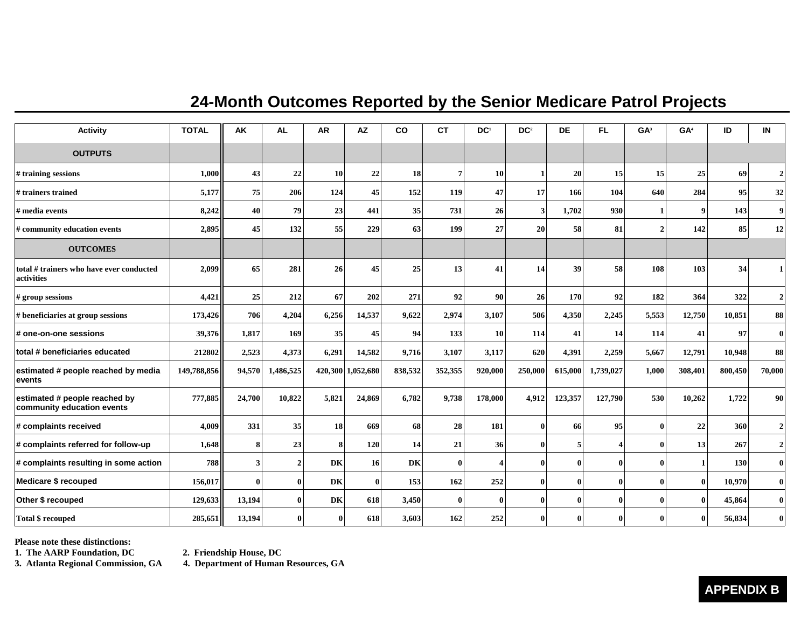#### **24-Month Outcomes Reported by the Senior Medicare Patrol Projects**

| <b>Activity</b>                                             | <b>TOTAL</b> | AK           | <b>AL</b>    | <b>AR</b>    | <b>AZ</b>         | co      | <b>CT</b>      | DC <sup>1</sup> | DC <sup>2</sup> | <b>DE</b>    | FL.          | GA <sup>3</sup> | GA <sup>4</sup>  | ID      | IN               |
|-------------------------------------------------------------|--------------|--------------|--------------|--------------|-------------------|---------|----------------|-----------------|-----------------|--------------|--------------|-----------------|------------------|---------|------------------|
| <b>OUTPUTS</b>                                              |              |              |              |              |                   |         |                |                 |                 |              |              |                 |                  |         |                  |
| # training sessions                                         | 1,000        | 43           | 22           | 10           | 22                | 18      | $\overline{7}$ | 10              |                 | 20           | 15           | 15              | 25               | 69      | 2 <sup>1</sup>   |
| # trainers trained                                          | 5,177        | 75           | 206          | 124          | 45                | 152     | 119            | 47              | 17              | 166          | 104          | 640             | 284              | 95      | 32               |
| # media events                                              | 8,242        | 40           | 79           | 23           | 441               | 35      | 731            | 26              | 3               | 1,702        | 930          |                 | $\boldsymbol{9}$ | 143     | 9 <sup>1</sup>   |
| # community education events                                | 2,895        | 45           | 132          | 55           | 229               | 63      | 199            | 27              | 20              | 58           | 81           | $\mathcal{D}$   | 142              | 85      | 12               |
| <b>OUTCOMES</b>                                             |              |              |              |              |                   |         |                |                 |                 |              |              |                 |                  |         |                  |
| total # trainers who have ever conducted<br>activities      | 2,099        | 65           | 281          | 26           | 45                | 25      | 13             | 41              | 14              | 39           | 58           | 108             | 103              | 34      |                  |
| # group sessions                                            | 4,421        | 25           | 212          | 67           | 202               | 271     | 92             | 90              | 26              | 170          | 92           | 182             | 364              | 322     | $\overline{2}$   |
| # beneficiaries at group sessions                           | 173,426      | 706          | 4,204        | 6,256        | 14,537            | 9,622   | 2,974          | 3,107           | 506             | 4,350        | 2,245        | 5,553           | 12,750           | 10,851  | 88               |
| # one-on-one sessions                                       | 39,376       | 1,817        | 169          | 35           | 45                | 94      | 133            | 10              | 114             | 41           | 14           | 114             | 41               | 97      | $\bf{0}$         |
| total # beneficiaries educated                              | 212802       | 2,523        | 4,373        | 6,291        | 14,582            | 9,716   | 3,107          | 3,117           | 620             | 4,391        | 2,259        | 5,667           | 12,791           | 10,948  | 88               |
| estimated # people reached by media<br>events               | 149,788,856  | 94,570       | 1,486,525    |              | 420,300 1,052,680 | 838,532 | 352,355        | 920,000         | 250,000         | 615,000      | 1,739,027    | 1,000           | 308,401          | 800,450 | 70,000           |
| estimated # people reached by<br>community education events | 777,885      | 24,700       | 10,822       | 5,821        | 24,869            | 6,782   | 9,738          | 178,000         | 4,912           | 123,357      | 127,790      | 530             | 10,262           | 1,722   | 90               |
| # complaints received                                       | 4,009        | 331          | 35           | 18           | 669               | 68      | 28             | 181             | $\mathbf{0}$    | 66           | 95           | $\mathbf 0$     | 22               | 360     | $\boldsymbol{2}$ |
| # complaints referred for follow-up                         | 1,648        | 8            | 23           | 8            | 120               | 14      | 21             | 36              | $\theta$        | 5            | 4            | $\theta$        | 13               | 267     | $\overline{2}$   |
| # complaints resulting in some action                       | <b>788</b>   | $\mathbf{3}$ | 2            | DK           | 16                | DK      | $\mathbf{0}$   |                 | $\mathbf{0}$    | $\mathbf{0}$ | $\mathbf{0}$ | $\theta$        |                  | 130     | $\mathbf{0}$     |
| Medicare \$ recouped                                        | 156,017      | $\mathbf{0}$ | $\bf{0}$     | DK           | $\mathbf{0}$      | 153     | 162            | 252             | $\mathbf{0}$    | $\mathbf{0}$ | $\mathbf{0}$ | $\theta$        | $\theta$         | 10,970  | $\bf{0}$         |
| Other \$ recouped                                           | 129,633      | 13,194       | $\bf{0}$     | DK           | 618               | 3,450   | $\mathbf{0}$   | $\mathbf{0}$    | $\mathbf{0}$    | $\mathbf{0}$ | $\mathbf{0}$ | 0               | $\bf{0}$         | 45,864  | $\bf{0}$         |
| <b>Total \$ recouped</b>                                    | 285,651      | 13,194       | $\mathbf{0}$ | $\mathbf{0}$ | 618               | 3,603   | 162            | 252             | $\theta$        | -0           | $\mathbf{0}$ | 0               | $\mathbf{0}$     | 56,834  |                  |

**Please note these distinctions:** 

1. The AARP Foundation, DC **2. Friendship House, DC**<br>
3. Atlanta Regional Commission, GA **4. Department of Human** 

**3. Atlanta Regional Commission, GA 4. Department of Human Resources, GA** 

**APPENDIX B**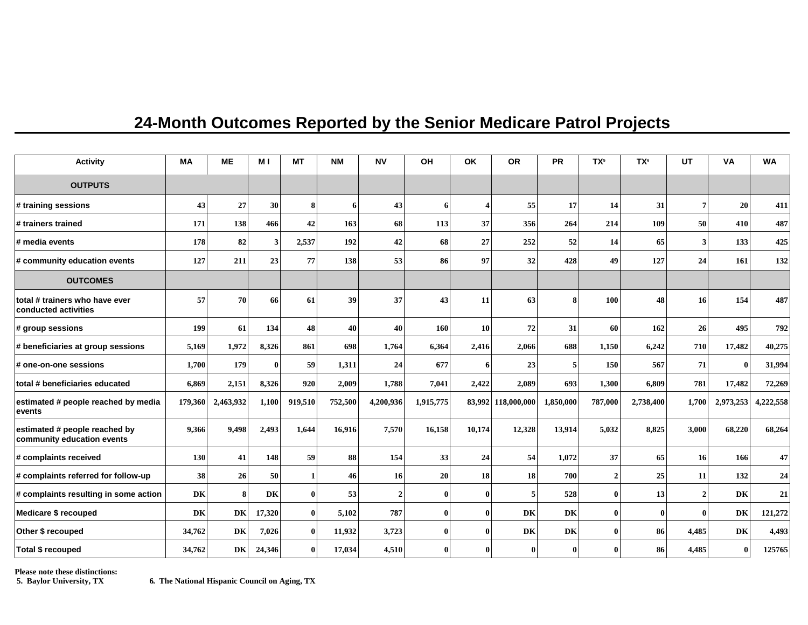## **24-Month Outcomes Reported by the Senior Medicare Patrol Projects**

| <b>Activity</b>                                             | <b>MA</b> | <b>ME</b> | M <sub>I</sub> | <b>MT</b>    | <b>NM</b> | <b>NV</b>      | OH           | OK       | <b>OR</b>          | <b>PR</b> | TX <sup>5</sup> | <b>TX<sup>6</sup></b> | <b>UT</b>               | <b>VA</b> | <b>WA</b> |
|-------------------------------------------------------------|-----------|-----------|----------------|--------------|-----------|----------------|--------------|----------|--------------------|-----------|-----------------|-----------------------|-------------------------|-----------|-----------|
| <b>OUTPUTS</b>                                              |           |           |                |              |           |                |              |          |                    |           |                 |                       |                         |           |           |
| # training sessions                                         | 43        | 27        | 30             | 8            | 6         | 43             | 6            | 4        | 55                 | 17        | 14              | 31                    | $\overline{7}$          | 20        | 411       |
| # trainers trained                                          | 171       | 138       | 466            | 42           | 163       | 68             | 113          | 37       | 356                | 264       | 214             | 109                   | 50                      | 410       | 487       |
| # media events                                              | 178       | 82        | $\mathbf{3}$   | 2,537        | 192       | 42             | 68           | 27       | 252                | 52        | 14              | 65                    | $\overline{\mathbf{3}}$ | 133       | 425       |
| # community education events                                | 127       | 211       | 23             | 77           | 138       | 53             | 86           | 97       | 32                 | 428       | 49              | 127                   | 24                      | 161       | 132       |
| <b>OUTCOMES</b>                                             |           |           |                |              |           |                |              |          |                    |           |                 |                       |                         |           |           |
| total # trainers who have ever<br>conducted activities      | 57        | 70        | 66             | 61           | 39        | 37             | 43           | 11       | 63                 | 8         | 100             | 48                    | 16                      | 154       | 487       |
| # group sessions                                            | 199       | 61        | 134            | 48           | 40        | 40             | 160          | 10       | 72                 | 31        | 60              | 162                   | 26                      | 495       | 792       |
| # beneficiaries at group sessions                           | 5,169     | 1,972     | 8,326          | 861          | 698       | 1,764          | 6,364        | 2,416    | 2,066              | 688       | 1,150           | 6,242                 | 710                     | 17,482    | 40,275    |
| # one-on-one sessions                                       | 1,700     | 179       | 0              | 59           | 1,311     | 24             | 677          | 6        | 23                 | 5         | 150             | 567                   | 71                      | $\bf{0}$  | 31,994    |
| total # beneficiaries educated                              | 6,869     | 2,151     | 8,326          | 920          | 2,009     | 1,788          | 7,041        | 2,422    | 2,089              | 693       | 1,300           | 6,809                 | 781                     | 17,482    | 72,269    |
| estimated # people reached by media<br>events               | 179,360   | 2,463,932 | 1,100          | 919,510      | 752,500   | 4,200,936      | 1,915,775    |          | 83,992 118,000,000 | 1,850,000 | 787,000         | 2,738,400             | 1,700                   | 2,973,253 | 4,222,558 |
| estimated # people reached by<br>community education events | 9,366     | 9,498     | 2,493          | 1,644        | 16,916    | 7,570          | 16,158       | 10,174   | 12,328             | 13,914    | 5,032           | 8,825                 | 3,000                   | 68,220    | 68,264    |
| # complaints received                                       | 130       | 41        | 148            | 59           | 88        | 154            | 33           | 24       | 54                 | 1,072     | 37              | 65                    | 16                      | 166       | 47        |
| # complaints referred for follow-up                         | 38        | 26        | 50             | $\mathbf{1}$ | 46        | 16             | 20           | 18       | 18                 | 700       | $\overline{2}$  | 25                    | 11                      | 132       | 24        |
| # complaints resulting in some action                       | DK        | 8         | DK             | $\bf{0}$     | 53        | $\overline{2}$ | $\bf{0}$     | $\bf{0}$ | 5                  | 528       | 0               | 13                    | $\boldsymbol{2}$        | DK        | 21        |
| Medicare \$ recouped                                        | DK        | DK        | 17,320         | $\bf{0}$     | 5,102     | 787            | $\bf{0}$     | $\bf{0}$ | DK                 | DK        | 0               | $\bf{0}$              | 0                       | DK        | 121,272   |
| Other \$ recouped                                           | 34,762    | DK        | 7,026          | $\bf{0}$     | 11,932    | 3,723          | $\mathbf{0}$ | $\bf{0}$ | DK                 | DK        | 0               | 86                    | 4,485                   | <b>DK</b> | 4,493     |
| Total \$ recouped                                           | 34,762    | DK        | 24,346         | 0            | 17,034    | 4,510          | $\mathbf{0}$ | 0        | 0                  | 0         |                 | 86                    | 4,485                   | $\bf{0}$  | 125765    |

**Please note these distinctions:**